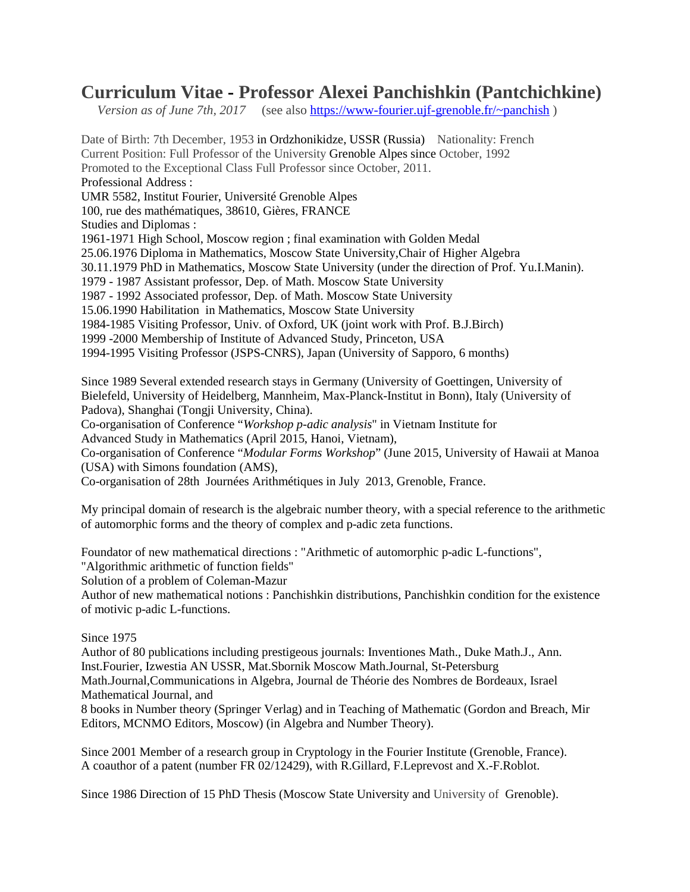## **Curriculum Vitae - Professor Alexei Panchishkin (Pantchichkine)**

*Version as of June 7th, 2017* (see also [https://www-fourier.ujf-grenoble.fr/~panchish](https://www-fourier.ujf-grenoble.fr/%7Epanchish))

Date of Birth: 7th December, 1953 in Ordzhonikidze, USSR (Russia) Nationality: French Current Position: Full Professor of the University Grenoble Alpes since October, 1992 Promoted to the Exceptional Class Full Professor since October, 2011. Professional Address : UMR 5582, Institut Fourier, Université Grenoble Alpes 100, rue des mathématiques, 38610, Gières, FRANCE Studies and Diplomas : 1961-1971 High School, Moscow region ; final examination with Golden Medal 25.06.1976 Diploma in Mathematics, Moscow State University,Chair of Higher Algebra 30.11.1979 PhD in Mathematics, Moscow State University (under the direction of Prof. Yu.I.Manin). 1979 - 1987 Assistant professor, Dep. of Math. Moscow State University 1987 - 1992 Associated professor, Dep. of Math. Moscow State University 15.06.1990 Habilitation in Mathematics, Moscow State University 1984-1985 Visiting Professor, Univ. of Oxford, UK (joint work with Prof. B.J.Birch) 1999 -2000 Membership of Institute of Advanced Study, Princeton, USA 1994-1995 Visiting Professor (JSPS-CNRS), Japan (University of Sapporo, 6 months)

Since 1989 Several extended research stays in Germany (University of Goettingen, University of Bielefeld, University of Heidelberg, Mannheim, Max-Planck-Institut in Bonn), Italy (University of Padova), Shanghai (Tongji University, China).

Co-organisation of Conference "*Workshop p-adic analysis*" in Vietnam Institute for

Advanced Study in Mathematics (April 2015, Hanoi, Vietnam),

Co-organisation of Conference "*Modular Forms Workshop*" (June 2015, University of Hawaii at Manoa (USA) with Simons foundation (AMS),

Co-organisation of 28th Journées Arithmétiques in July 2013, Grenoble, France.

My principal domain of research is the algebraic number theory, with a special reference to the arithmetic of automorphic forms and the theory of complex and p-adic zeta functions.

Foundator of new mathematical directions : "Arithmetic of automorphic p-adic L-functions",

"Algorithmic arithmetic of function fields"

Solution of a problem of Coleman-Mazur

Author of new mathematical notions : Panchishkin distributions, Panchishkin condition for the existence of motivic p-adic L-functions.

## Since 1975

Author of 80 publications including prestigeous journals: Inventiones Math., Duke Math.J., Ann. Inst.Fourier, Izwestia AN USSR, Mat.Sbornik Moscow Math.Journal, St-Petersburg

Math.Journal,Communications in Algebra, Journal de Théorie des Nombres de Bordeaux, Israel Mathematical Journal, and

8 books in Number theory (Springer Verlag) and in Teaching of Mathematic (Gordon and Breach, Mir Editors, MCNMO Editors, Moscow) (in Algebra and Number Theory).

Since 2001 Member of a research group in Cryptology in the Fourier Institute (Grenoble, France). A coauthor of a patent (number FR 02/12429), with R.Gillard, F.Leprevost and X.-F.Roblot.

Since 1986 Direction of 15 PhD Thesis (Moscow State University and University of Grenoble).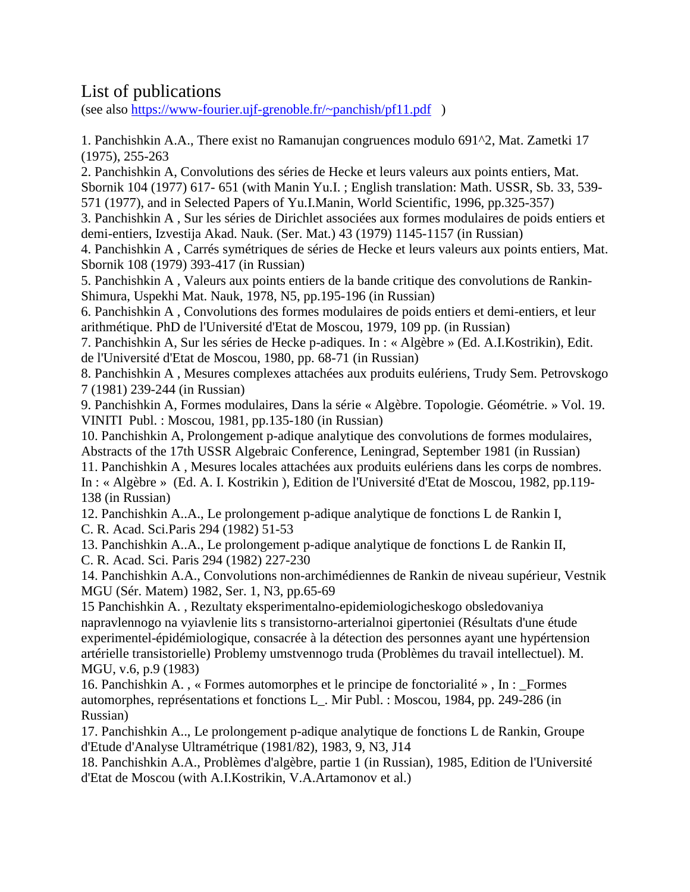## List of publications

(see also [https://www-fourier.ujf-grenoble.fr/~panchish/pf11.pdf](https://www-fourier.ujf-grenoble.fr/%7Epanchish/pf11.pdf) )

1. Panchishkin A.A., There exist no Ramanujan congruences modulo 691^2, Mat. Zametki 17 (1975), 255-263

2. Panchishkin A, Convolutions des séries de Hecke et leurs valeurs aux points entiers, Mat. Sbornik 104 (1977) 617- 651 (with Manin Yu.I. ; English translation: Math. USSR, Sb. 33, 539- 571 (1977), and in Selected Papers of Yu.I.Manin, World Scientific, 1996, pp.325-357)

3. Panchishkin A , Sur les séries de Dirichlet associées aux formes modulaires de poids entiers et demi-entiers, Izvestija Akad. Nauk. (Ser. Mat.) 43 (1979) 1145-1157 (in Russian)

4. Panchishkin A , Carrés symétriques de séries de Hecke et leurs valeurs aux points entiers, Mat. Sbornik 108 (1979) 393-417 (in Russian)

5. Panchishkin A , Valeurs aux points entiers de la bande critique des convolutions de Rankin-Shimura, Uspekhi Mat. Nauk, 1978, N5, pp.195-196 (in Russian)

6. Panchishkin A , Convolutions des formes modulaires de poids entiers et demi-entiers, et leur arithmétique. PhD de l'Université d'Etat de Moscou, 1979, 109 pp. (in Russian)

7. Panchishkin A, Sur les séries de Hecke p-adiques. In : « Algèbre » (Ed. A.I.Kostrikin), Edit. de l'Université d'Etat de Moscou, 1980, pp. 68-71 (in Russian)

8. Panchishkin A , Mesures complexes attachées aux produits eulériens, Trudy Sem. Petrovskogo 7 (1981) 239-244 (in Russian)

9. Panchishkin A, Formes modulaires, Dans la série « Algèbre. Topologie. Géométrie. » Vol. 19. VINITI Publ. : Moscou, 1981, pp.135-180 (in Russian)

10. Panchishkin A, Prolongement p-adique analytique des convolutions de formes modulaires, Abstracts of the 17th USSR Algebraic Conference, Leningrad, September 1981 (in Russian)

11. Panchishkin A , Mesures locales attachées aux produits eulériens dans les corps de nombres. In : « Algèbre » (Ed. A. I. Kostrikin ), Edition de l'Université d'Etat de Moscou, 1982, pp.119- 138 (in Russian)

12. Panchishkin A..A., Le prolongement p-adique analytique de fonctions L de Rankin I, C. R. Acad. Sci.Paris 294 (1982) 51-53

13. Panchishkin A..A., Le prolongement p-adique analytique de fonctions L de Rankin II, C. R. Acad. Sci. Paris 294 (1982) 227-230

14. Panchishkin A.A., Convolutions non-archimédiennes de Rankin de niveau supérieur, Vestnik MGU (Sér. Matem) 1982, Ser. 1, N3, pp.65-69

15 Panchishkin A. , Rezultaty eksperimentalno-epidemiologicheskogo obsledovaniya napravlennogo na vyiavlenie lits s transistorno-arterialnoi gipertoniei (Résultats d'une étude experimentel-épidémiologique, consacrée à la détection des personnes ayant une hypértension artérielle transistorielle) Problemy umstvennogo truda (Problèmes du travail intellectuel). M. MGU, v.6, p.9 (1983)

16. Panchishkin A. , « Formes automorphes et le principe de fonctorialité » , In : \_Formes automorphes, représentations et fonctions L\_. Mir Publ. : Moscou, 1984, pp. 249-286 (in Russian)

17. Panchishkin A.., Le prolongement p-adique analytique de fonctions L de Rankin, Groupe d'Etude d'Analyse Ultramétrique (1981/82), 1983, 9, N3, J14

18. Panchishkin A.A., Problèmes d'algèbre, partie 1 (in Russian), 1985, Edition de l'Université d'Etat de Moscou (with A.I.Kostrikin, V.A.Artamonov et al.)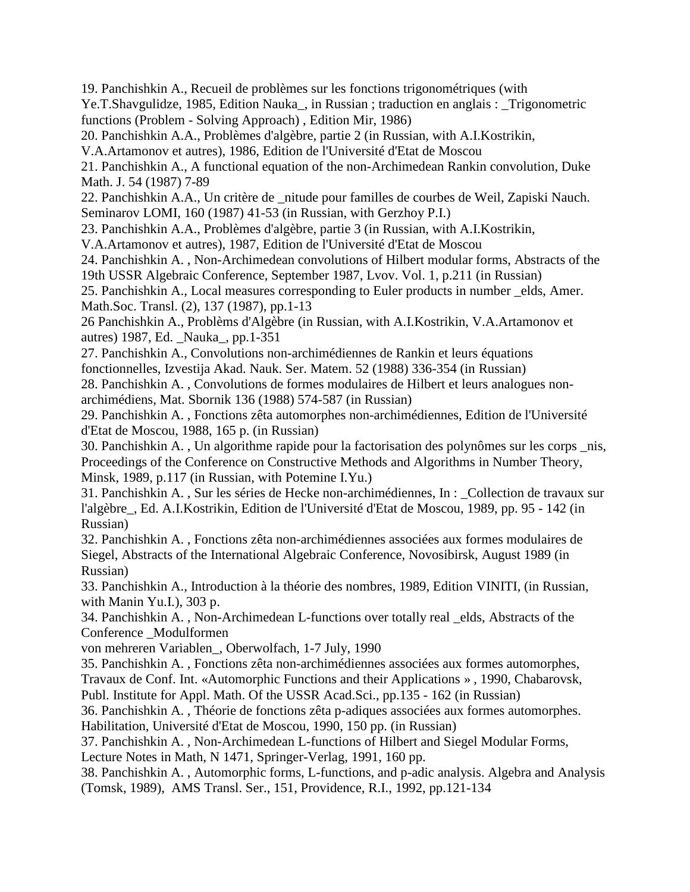19. Panchishkin A., Recueil de problèmes sur les fonctions trigonométriques (with

Ye.T.Shavgulidze, 1985, Edition Nauka\_, in Russian ; traduction en anglais : \_Trigonometric functions (Problem - Solving Approach) , Edition Mir, 1986)

20. Panchishkin A.A., Problèmes d'algèbre, partie 2 (in Russian, with A.I.Kostrikin,

V.A.Artamonov et autres), 1986, Edition de l'Université d'Etat de Moscou

21. Panchishkin A., A functional equation of the non-Archimedean Rankin convolution, Duke Math. J. 54 (1987) 7-89

22. Panchishkin A.A., Un critère de \_nitude pour familles de courbes de Weil, Zapiski Nauch. Seminarov LOMI, 160 (1987) 41-53 (in Russian, with Gerzhoy P.I.)

23. Panchishkin A.A., Problèmes d'algèbre, partie 3 (in Russian, with A.I.Kostrikin,

V.A.Artamonov et autres), 1987, Edition de l'Université d'Etat de Moscou

24. Panchishkin A. , Non-Archimedean convolutions of Hilbert modular forms, Abstracts of the 19th USSR Algebraic Conference, September 1987, Lvov. Vol. 1, p.211 (in Russian)

25. Panchishkin A., Local measures corresponding to Euler products in number \_elds, Amer. Math.Soc. Transl. (2), 137 (1987), pp.1-13

26 Panchishkin A., Problèms d'Algèbre (in Russian, with A.I.Kostrikin, V.A.Artamonov et autres) 1987, Ed. \_Nauka\_, pp.1-351

27. Panchishkin A., Convolutions non-archimédiennes de Rankin et leurs équations

fonctionnelles, Izvestija Akad. Nauk. Ser. Matem. 52 (1988) 336-354 (in Russian) 28. Panchishkin A. , Convolutions de formes modulaires de Hilbert et leurs analogues non-

archimédiens, Mat. Sbornik 136 (1988) 574-587 (in Russian)

29. Panchishkin A. , Fonctions zêta automorphes non-archimédiennes, Edition de l'Université d'Etat de Moscou, 1988, 165 p. (in Russian)

30. Panchishkin A. , Un algorithme rapide pour la factorisation des polynômes sur les corps \_nis, Proceedings of the Conference on Constructive Methods and Algorithms in Number Theory, Minsk, 1989, p.117 (in Russian, with Potemine I.Yu.)

31. Panchishkin A. , Sur les séries de Hecke non-archimédiennes, In : \_Collection de travaux sur l'algèbre\_, Ed. A.I.Kostrikin, Edition de l'Université d'Etat de Moscou, 1989, pp. 95 - 142 (in Russian)

32. Panchishkin A. , Fonctions zêta non-archimédiennes associées aux formes modulaires de Siegel, Abstracts of the International Algebraic Conference, Novosibirsk, August 1989 (in Russian)

33. Panchishkin A., Introduction à la théorie des nombres, 1989, Edition VINITI, (in Russian, with Manin Yu.I.), 303 p.

34. Panchishkin A. , Non-Archimedean L-functions over totally real \_elds, Abstracts of the Conference Modulformen

von mehreren Variablen\_, Oberwolfach, 1-7 July, 1990

35. Panchishkin A. , Fonctions zêta non-archimédiennes associées aux formes automorphes,

Travaux de Conf. Int. «Automorphic Functions and their Applications » , 1990, Chabarovsk,

Publ. Institute for Appl. Math. Of the USSR Acad.Sci., pp.135 - 162 (in Russian)

36. Panchishkin A. , Théorie de fonctions zêta p-adiques associées aux formes automorphes.

Habilitation, Université d'Etat de Moscou, 1990, 150 pp. (in Russian)

37. Panchishkin A. , Non-Archimedean L-functions of Hilbert and Siegel Modular Forms,

Lecture Notes in Math, N 1471, Springer-Verlag, 1991, 160 pp.

38. Panchishkin A. , Automorphic forms, L-functions, and p-adic analysis. Algebra and Analysis (Tomsk, 1989), AMS Transl. Ser., 151, Providence, R.I., 1992, pp.121-134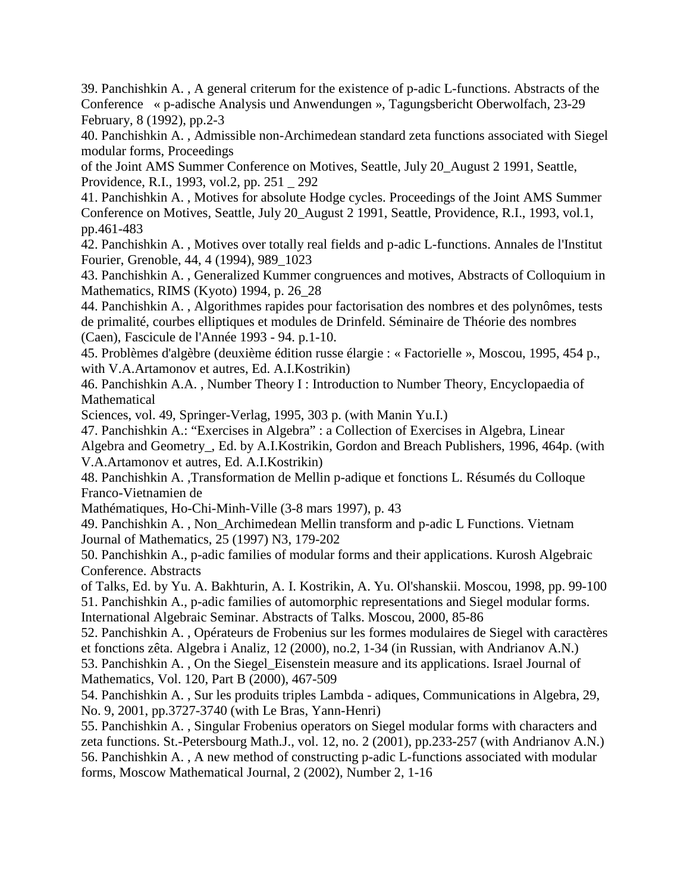39. Panchishkin A. , A general criterum for the existence of p-adic L-functions. Abstracts of the Conference « p-adische Analysis und Anwendungen », Tagungsbericht Oberwolfach, 23-29 February, 8 (1992), pp.2-3

40. Panchishkin A. , Admissible non-Archimedean standard zeta functions associated with Siegel modular forms, Proceedings

of the Joint AMS Summer Conference on Motives, Seattle, July 20\_August 2 1991, Seattle, Providence, R.I., 1993, vol.2, pp. 251 \_ 292

41. Panchishkin A. , Motives for absolute Hodge cycles. Proceedings of the Joint AMS Summer Conference on Motives, Seattle, July 20\_August 2 1991, Seattle, Providence, R.I., 1993, vol.1, pp.461-483

42. Panchishkin A. , Motives over totally real fields and p-adic L-functions. Annales de l'Institut Fourier, Grenoble, 44, 4 (1994), 989\_1023

43. Panchishkin A. , Generalized Kummer congruences and motives, Abstracts of Colloquium in Mathematics, RIMS (Kyoto) 1994, p. 26\_28

44. Panchishkin A. , Algorithmes rapides pour factorisation des nombres et des polynômes, tests de primalité, courbes elliptiques et modules de Drinfeld. Séminaire de Théorie des nombres (Caen), Fascicule de l'Année 1993 - 94. p.1-10.

45. Problèmes d'algèbre (deuxième édition russe élargie : « Factorielle », Moscou, 1995, 454 p., with V.A.Artamonov et autres, Ed. A.I.Kostrikin)

46. Panchishkin A.A. , Number Theory I : Introduction to Number Theory, Encyclopaedia of **Mathematical** 

Sciences, vol. 49, Springer-Verlag, 1995, 303 p. (with Manin Yu.I.)

47. Panchishkin A.: "Exercises in Algebra" : a Collection of Exercises in Algebra, Linear Algebra and Geometry\_, Ed. by A.I.Kostrikin, Gordon and Breach Publishers, 1996, 464p. (with V.A.Artamonov et autres, Ed. A.I.Kostrikin)

48. Panchishkin A. ,Transformation de Mellin p-adique et fonctions L. Résumés du Colloque Franco-Vietnamien de

Mathématiques, Ho-Chi-Minh-Ville (3-8 mars 1997), p. 43

49. Panchishkin A. , Non\_Archimedean Mellin transform and p-adic L Functions. Vietnam Journal of Mathematics, 25 (1997) N3, 179-202

50. Panchishkin A., p-adic families of modular forms and their applications. Kurosh Algebraic Conference. Abstracts

of Talks, Ed. by Yu. A. Bakhturin, A. I. Kostrikin, A. Yu. Ol'shanskii. Moscou, 1998, pp. 99-100 51. Panchishkin A., p-adic families of automorphic representations and Siegel modular forms. International Algebraic Seminar. Abstracts of Talks. Moscou, 2000, 85-86

52. Panchishkin A. , Opérateurs de Frobenius sur les formes modulaires de Siegel with caractères et fonctions zêta. Algebra i Analiz, 12 (2000), no.2, 1-34 (in Russian, with Andrianov A.N.) 53. Panchishkin A. , On the Siegel\_Eisenstein measure and its applications. Israel Journal of Mathematics, Vol. 120, Part B (2000), 467-509

54. Panchishkin A. , Sur les produits triples Lambda - adiques, Communications in Algebra, 29, No. 9, 2001, pp.3727-3740 (with Le Bras, Yann-Henri)

55. Panchishkin A. , Singular Frobenius operators on Siegel modular forms with characters and zeta functions. St.-Petersbourg Math.J., vol. 12, no. 2 (2001), pp.233-257 (with Andrianov A.N.) 56. Panchishkin A. , A new method of constructing p-adic L-functions associated with modular forms, Moscow Mathematical Journal, 2 (2002), Number 2, 1-16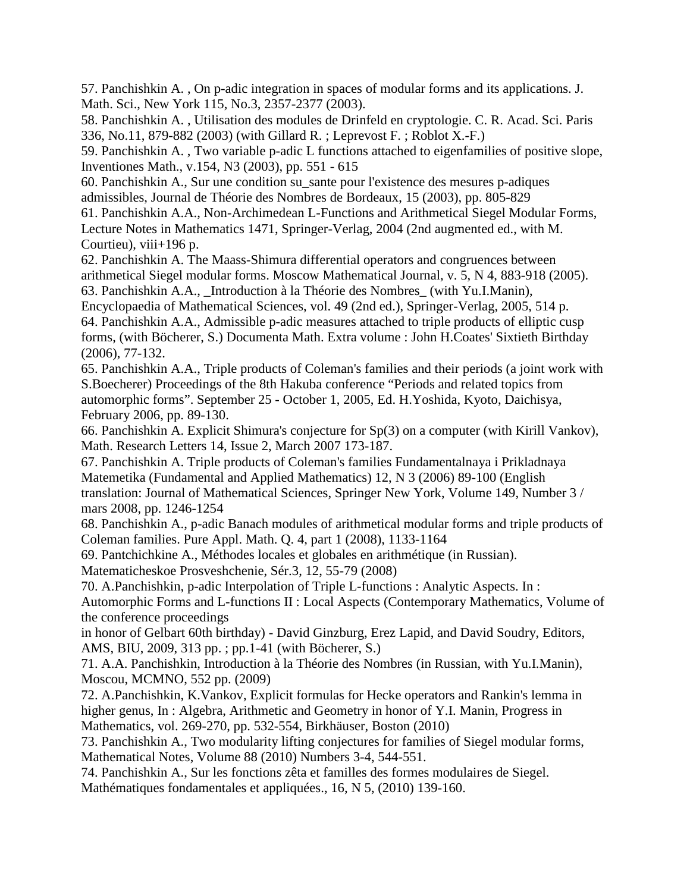57. Panchishkin A. , On p-adic integration in spaces of modular forms and its applications. J. Math. Sci., New York 115, No.3, 2357-2377 (2003).

58. Panchishkin A. , Utilisation des modules de Drinfeld en cryptologie. C. R. Acad. Sci. Paris 336, No.11, 879-882 (2003) (with Gillard R. ; Leprevost F. ; Roblot X.-F.)

59. Panchishkin A. , Two variable p-adic L functions attached to eigenfamilies of positive slope, Inventiones Math., v.154, N3 (2003), pp. 551 - 615

60. Panchishkin A., Sur une condition su\_sante pour l'existence des mesures p-adiques admissibles, Journal de Théorie des Nombres de Bordeaux, 15 (2003), pp. 805-829

61. Panchishkin A.A., Non-Archimedean L-Functions and Arithmetical Siegel Modular Forms, Lecture Notes in Mathematics 1471, Springer-Verlag, 2004 (2nd augmented ed., with M. Courtieu), viii+196 p.

62. Panchishkin A. The Maass-Shimura differential operators and congruences between arithmetical Siegel modular forms. Moscow Mathematical Journal, v. 5, N 4, 883-918 (2005). 63. Panchishkin A.A., \_Introduction à la Théorie des Nombres\_ (with Yu.I.Manin),

Encyclopaedia of Mathematical Sciences, vol. 49 (2nd ed.), Springer-Verlag, 2005, 514 p. 64. Panchishkin A.A., Admissible p-adic measures attached to triple products of elliptic cusp forms, (with Böcherer, S.) Documenta Math. Extra volume : John H.Coates' Sixtieth Birthday (2006), 77-132.

65. Panchishkin A.A., Triple products of Coleman's families and their periods (a joint work with S.Boecherer) Proceedings of the 8th Hakuba conference "Periods and related topics from automorphic forms". September 25 - October 1, 2005, Ed. H.Yoshida, Kyoto, Daichisya, February 2006, pp. 89-130.

66. Panchishkin A. Explicit Shimura's conjecture for Sp(3) on a computer (with Kirill Vankov), Math. Research Letters 14, Issue 2, March 2007 173-187.

67. Panchishkin A. Triple products of Coleman's families Fundamentalnaya i Prikladnaya Matemetika (Fundamental and Applied Mathematics) 12, N 3 (2006) 89-100 (English translation: Journal of Mathematical Sciences, Springer New York, Volume 149, Number 3 / mars 2008, pp. 1246-1254

68. Panchishkin A., p-adic Banach modules of arithmetical modular forms and triple products of Coleman families. Pure Appl. Math. Q. 4, part 1 (2008), 1133-1164

69. Pantchichkine A., Méthodes locales et globales en arithmétique (in Russian).

Matematicheskoe Prosveshchenie, Sér.3, 12, 55-79 (2008)

70. A.Panchishkin, p-adic Interpolation of Triple L-functions : Analytic Aspects. In : Automorphic Forms and L-functions II : Local Aspects (Contemporary Mathematics, Volume of the conference proceedings

in honor of Gelbart 60th birthday) - David Ginzburg, Erez Lapid, and David Soudry, Editors, AMS, BIU, 2009, 313 pp. ; pp.1-41 (with Böcherer, S.)

71. A.A. Panchishkin, Introduction à la Théorie des Nombres (in Russian, with Yu.I.Manin), Moscou, MCMNO, 552 pp. (2009)

72. A.Panchishkin, K.Vankov, Explicit formulas for Hecke operators and Rankin's lemma in higher genus, In : Algebra, Arithmetic and Geometry in honor of Y.I. Manin, Progress in Mathematics, vol. 269-270, pp. 532-554, Birkhäuser, Boston (2010)

73. Panchishkin A., Two modularity lifting conjectures for families of Siegel modular forms, Mathematical Notes, Volume 88 (2010) Numbers 3-4, 544-551.

74. Panchishkin A., Sur les fonctions zêta et familles des formes modulaires de Siegel. Mathématiques fondamentales et appliquées., 16, N 5, (2010) 139-160.